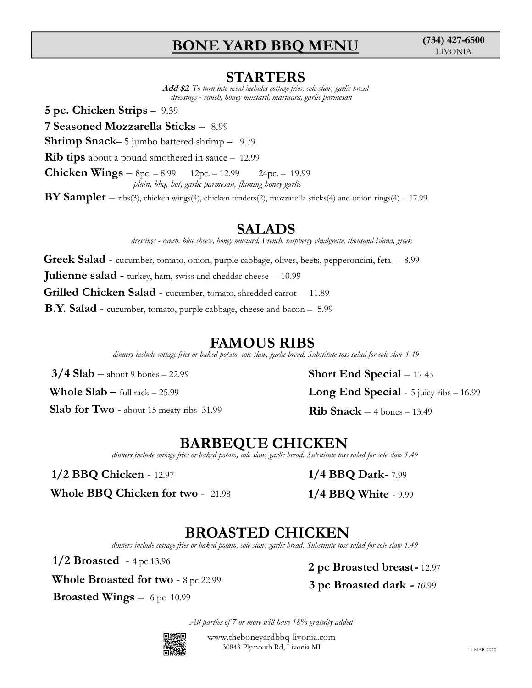## BONE YARD BBQ MENU

**STARTERS**<br>Add \$2. To turn into meal includes cottage fries, cole slaw, garlic bread **BONE YARD BBQ MENU** (734) 427-6500<br> **STARTERS**<br> *dd \$2. To turn into meal includes cottage fries, cole slaw, garlic bread*<br> *dressings - ranch, honey mustard, marinara, garlic parmesan*<br>
39<br> **ticks** — 8.99<br>
ttered shrimp **BONE YARD BBQ MENU** (734)<br> **STARTERS**<br> *Add \$2.* To turn into meal includes ottage fries, cole slam, garlic bread<br>
dressings - rand), boney mustard, marinara, garlic parmesan<br>
5 pc. Chicken Strips – 9.39<br>
7 Seasoned Mozz **BONE YARD BBQ MENU** (734) 427-6500<br> **STARTERS**<br> *Add \$2. To turn into meal includes cottage fries, cole slaw, garlic bread*<br> *dressings - ranch, honey mustard, marinara, garlic parmesan*<br>
9.39<br> **Sticks** — 8.99<br> **Sticks** —

7 Seasoned Mozzarella Sticks – 8.99

**CHICKEY SERT BRO MENU (734) 427-6500**<br>
STARTERS<br>
Add \$2.76 tim into must includes ottage free, ole slaw, gardic bread<br>
5 pc. Chicken Strips – 9.99<br>
7 Seasoned Mozzarella Sticks – 8.99<br>
Shrimp Snack – 5 jumbo battered shr **BONE YARD BBQ MENU**<br> **STARTERS**<br> *Add \$2.* To turn into meal includes cottage fries, cole slam, gartic bread<br>
dressings - ranch, honey mustard, marinara, gartic parmesan<br>
7 Seasoned Mozzarella Sticks – 8.99<br>
Shrimp Snack– **BONE YARD BBQ MENU** (734) 427-6500<br> **STARTERS**<br> *Add s2 To turn into mail induction contage joins, one signs, and is mound described through in sample parameters are presented in sample parameters are parameters and the* **BONE YARD BBQ MENU** (734) 427-6500<br> **STARTERS**<br>
Add 82 To turn into medi indicel collage first, ode dum, gartic bread<br>
5 pc. Chicken Strips – 9.39<br>
7 Seasoned Mozzarella Sticks – 8.99<br>
7 Seasoned Mozzarella Sticks – 8.99 plain, bbq, hot, garlic parmesan, flaming honey garlic

**SALADS**<br>dressings - ranch, blue cheese, honey mustard, French, raspberry vinaigrette, thousand island, greek

Greek Salad - cucumber, tomato, onion, purple cabbage, olives, beets, pepperoncini, feta – 8.99 **STARTERS**<br> *Add \$2* To may have much consiglient, each identity equilibrium<br> *Add \$2* To may have much longy musters thereinnes are the inversion<br> **Shrimp Snack-** 5 (interbol battered shrimp - 9.79)<br> **Rib tips about a po** Grilled Chicken Salad - cucumber, tomato, shredded carrot – 11.89 **5 pc. Chicken Strips – 9.39**<br> **Theory diverse and model in Stricks – 8.99**<br> **Shrimp Snack–5** jumbo battered shrimp – 9.79<br> **Rib tips about a** power and smoke respective and smoke energy and **Chicken Wings – Soc.** – 8.99<br> **BONE YARD BBQ MENU** (734) 427-6500<br> **STARTERS**<br>
Add \$2. To turn into meal includes coings free, cole iden, geritic bread<br>
dressings - ranch, bloney mustard, marriard, guiltic parmically<br>
spacella Sticks - 8.99<br>
jumbo bat **SLADE For Two - about 15 means in the case of the symptom interest), mozzarella sticks(4) and onion rings(4) - 17:99<br>
SALADE<br>
drassings - rand, blue dress, boney mustard, Franch, napherry rinaigents, thousand idead, gree** plain, blog, bet, gartic parmecan, flaming loney gartic<br>
MY Sampler – ribs(3), chicken wings(4), chicken tenders(2), mozzarella sticks(4) and onion rings(4) - 17.99<br>
densings - rand), blue choos, bases masched, trench, ra 3/4 Slab – four-structure matrix, the particular structure ( $\frac{2.99}{2}$  – 24pc. – 19.99<br>
32.1 Sampler – abs(3), chicken vange(4), chicken venders(2), mozzarella sticks(4) and onion rings(4) - 17.99<br>
32.1 Sampler – abs(3) Graphical sharing  $-9.79$ <br>
a pound smoothered in sauce - 12.99<br>  $\mathbf{gs} = \text{Spec.} - 8.99$  - 12.09  $\frac{24\text{pc}}{3} = -12.99$ <br>  $\frac{1}{\text{point, body, body, ganti, primary, boundary, ganti}}$ <br>  $\frac{\text{SALADS}}{\text{density}}$ <br>  $\frac{\text{SALADS}}{\text{density}}$ <br>  $\frac{\text{maxing. -rmod, blue decay, bong material, Frunk, respectively}}{\text{density, thousand island, grek}}$ <br> dinners include cottage fries or band matrix and contents, buyonty imagentic, insulated states, gere<br>
cucumber, tomato, onion, purple cabbage, olives, beets, peopperoncini, feta = 8.99<br>
d - turkey, ham, swiss and cheddar

dinners include cottage fries or baked potato, cole slaw, garlic bread. Substitute toss salad for cole slaw 1.49

Whole Slab – full rack – 25.99<br> **Long End Spect**<br> **EARBEQUE CHICKEN**<br>
dimers include ottage fries or baked potato, cole slam, gardic bread. Substitute toss salad for cole<br>
1/2 BBQ Chicken – 12.97<br> **BROASTED CHICKEN**<br>
dime

11.89<br>
5<br>
Substitute toss salad for cole slaw 1.49<br> **Short End Special** – 17.45<br> **Long End Special** - 5 juicy ribs – 16.99<br> **Rib Snack** – 4 bones – 13.49<br> **NEN**<br>
1/4 BBQ Dark - 7.99<br>
1/4 BBQ White - 9.99<br>
<br> **CKEN** 11.89<br>
11.89<br>
- 5.99<br>
S<br>
Substitute toss salad for cole slaw 1.49<br>
S<br>
Substitute toss salad for cole slaw 1.49<br>
Rib Snack - 4 bones - 13.49<br>
Nubstitute toss salad for cole slaw 1.49<br>
1/4 BBQ Dark- 7.99<br>
1/4 BBQ White - 9. 3/4 Slab – about 9 bones – 22.99<br>
Short End Special – 17<br>
Whole Slab – full rack – 25.99<br>
Slab for Two - about 15 meaty ribs 31.99<br>
BARBEQUE CHICKEN<br>
dinners include catage fries or baked potato, cole slam, gartic broad. aments make orangy from or backet points, one stars, gente breast- text instant to state  $1.49$ <br> **1/2 Broasted** - full rick  $-$  25.99<br> **1/2 BBQ** Chicken - 12.97<br> **1/2 BBQ** Chicken - 12.97<br> **1/2 BBQ** Chicken - 12.97<br> **1/2** dinners include cottage fries or baked potato, cole slaw, garlic bread. Substitute toss salad for cole slaw 1.49 Short End Special – 17.45<br>
Long End Special - 5 juicy ribs – 16.99<br>
Rib Snack – 4 bones – 13.49<br>  $\begin{array}{l} \displaystyle \text{KEN} \ \text{M} \end{array}$ <br>  $1/4\;\text{BBQ Dark- 7.99}$ <br>  $1/4\;\text{BBQ White}$  = 9.99<br>  $\begin{array}{l} \displaystyle \text{3/14\text{BBQ White}}\ \text{M} \end{array}$ <br>  $2\;\text{pc Broasted breast$ sticks(4) and onion rings(4) - 17.99<br>
The vinagrette, thousand island, greek<br>
ets, pepperoncini, feta – 8.99<br>
11.89<br>
5<br>
Substitute toss salad for cole slaw 1.49<br> **Short End Special –** 17.45<br> **Long End Special -** 5 juicy ri

dinners include cottage fries or baked potato, cole slaw, garlic bread. Substitute toss salad for cole slaw 1.49

1/2 BBQ Chicken - 12.97

Whole BBQ Chicken for two - 21.98

**BROASTED CHICKEN**<br>dinners include cottage fries or baked potato, cole slaw, garlic bread. Substitute toss salad for cole slaw 1.49

All parties of 7 or more will have 18% gratuity added



www.theboneyardbbq-livonia.com 30843 Plymouth Rd, Livonia MI 11 MAR 2022